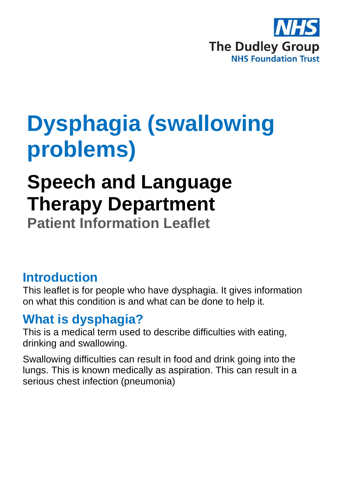

# **Dysphagia (swallowing problems)**

# **Speech and Language Therapy Department**

**Patient Information Leaflet**

### **Introduction**

This leaflet is for people who have dysphagia. It gives information on what this condition is and what can be done to help it.

## **What is dysphagia?**

This is a medical term used to describe difficulties with eating, drinking and swallowing.

Swallowing difficulties can result in food and drink going into the lungs. This is known medically as aspiration. This can result in a serious chest infection (pneumonia)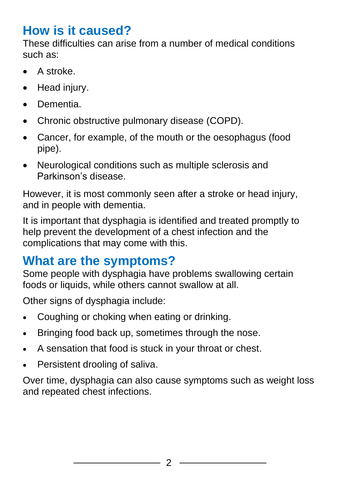## **How is it caused?**

These difficulties can arise from a number of medical conditions such as:

- A stroke.
- Head injury.
- Dementia.
- Chronic obstructive pulmonary disease (COPD).
- Cancer, for example, of the mouth or the oesophagus (food pipe).
- Neurological conditions such as multiple sclerosis and Parkinson's disease.

However, it is most commonly seen after a stroke or head injury, and in people with dementia.

It is important that dysphagia is identified and treated promptly to help prevent the development of a chest infection and the complications that may come with this.

## **What are the symptoms?**

Some people with dysphagia have problems swallowing certain foods or liquids, while others cannot swallow at all.

Other signs of dysphagia include:

- Coughing or choking when eating or drinking.
- Bringing food back up, sometimes through the nose.
- A sensation that food is stuck in your throat or chest.
- Persistent drooling of saliva.

Over time, dysphagia can also cause symptoms such as weight loss and repeated chest infections.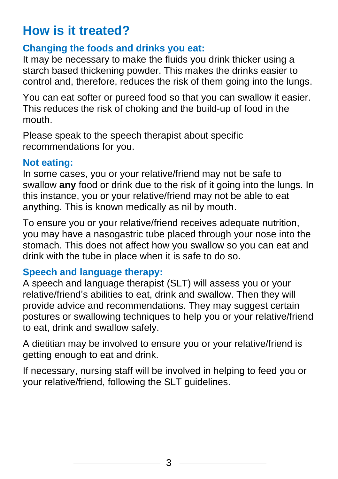## **How is it treated?**

#### **Changing the foods and drinks you eat:**

It may be necessary to make the fluids you drink thicker using a starch based thickening powder. This makes the drinks easier to control and, therefore, reduces the risk of them going into the lungs.

You can eat softer or pureed food so that you can swallow it easier. This reduces the risk of choking and the build-up of food in the mouth.

Please speak to the speech therapist about specific recommendations for you.

#### **Not eating:**

In some cases, you or your relative/friend may not be safe to swallow **any** food or drink due to the risk of it going into the lungs. In this instance, you or your relative/friend may not be able to eat anything. This is known medically as nil by mouth.

To ensure you or your relative/friend receives adequate nutrition, you may have a nasogastric tube placed through your nose into the stomach. This does not affect how you swallow so you can eat and drink with the tube in place when it is safe to do so.

### **Speech and language therapy:**

A speech and language therapist (SLT) will assess you or your relative/friend's abilities to eat, drink and swallow. Then they will provide advice and recommendations. They may suggest certain postures or swallowing techniques to help you or your relative/friend to eat, drink and swallow safely.

A dietitian may be involved to ensure you or your relative/friend is getting enough to eat and drink.

If necessary, nursing staff will be involved in helping to feed you or your relative/friend, following the SLT guidelines.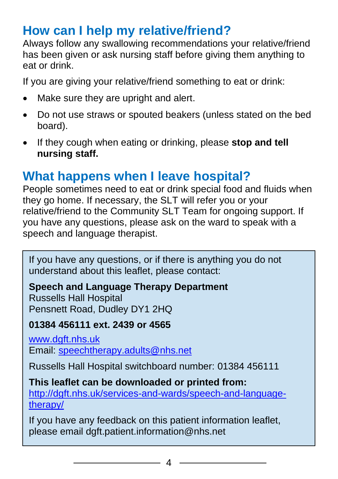## **How can I help my relative/friend?**

Always follow any swallowing recommendations your relative/friend has been given or ask nursing staff before giving them anything to eat or drink.

If you are giving your relative/friend something to eat or drink:

- Make sure they are upright and alert.
- Do not use straws or spouted beakers (unless stated on the bed board).
- If they cough when eating or drinking, please **stop and tell nursing staff.**

## **What happens when I leave hospital?**

People sometimes need to eat or drink special food and fluids when they go home. If necessary, the SLT will refer you or your relative/friend to the Community SLT Team for ongoing support. If you have any questions, please ask on the ward to speak with a speech and language therapist.

If you have any questions, or if there is anything you do not understand about this leaflet, please contact:

#### **Speech and Language Therapy Department**

Russells Hall Hospital Pensnett Road, Dudley DY1 2HQ

**01384 456111 ext. 2439 or 4565**

[www.dgft.nhs.uk](http://www.dgft.nhs.uk/) Email: [speechtherapy.adults@nhs.net](mailto:speechtherapy.adults@nhs.net)

Russells Hall Hospital switchboard number: 01384 456111

#### **This leaflet can be downloaded or printed from:**

[http://dgft.nhs.uk/services-and-wards/speech-and-language](http://dgft.nhs.uk/services-and-wards/speech-and-language-therapy/)[therapy/](http://dgft.nhs.uk/services-and-wards/speech-and-language-therapy/)

If you have any feedback on this patient information leaflet, please email dgft.patient.information@nhs.net